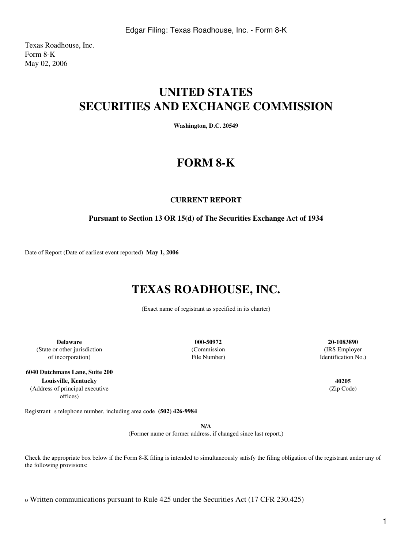Texas Roadhouse, Inc. Form 8-K May 02, 2006

# **UNITED STATES SECURITIES AND EXCHANGE COMMISSION**

**Washington, D.C. 20549**

## **FORM 8-K**

### **CURRENT REPORT**

### **Pursuant to Section 13 OR 15(d) of The Securities Exchange Act of 1934**

Date of Report (Date of earliest event reported) **May 1, 2006**

## **TEXAS ROADHOUSE, INC.**

(Exact name of registrant as specified in its charter)

**Delaware 000-50972 20-1083890** (State or other jurisdiction of incorporation)

**6040 Dutchmans Lane, Suite 200 Louisville, Kentucky 40205** (Address of principal executive offices)

(Commission File Number)

(IRS Employer Identification No.)

(Zip Code)

Registrant s telephone number, including area code (502) 426-9984

**N/A**

(Former name or former address, if changed since last report.)

Check the appropriate box below if the Form 8-K filing is intended to simultaneously satisfy the filing obligation of the registrant under any of the following provisions:

o Written communications pursuant to Rule 425 under the Securities Act (17 CFR 230.425)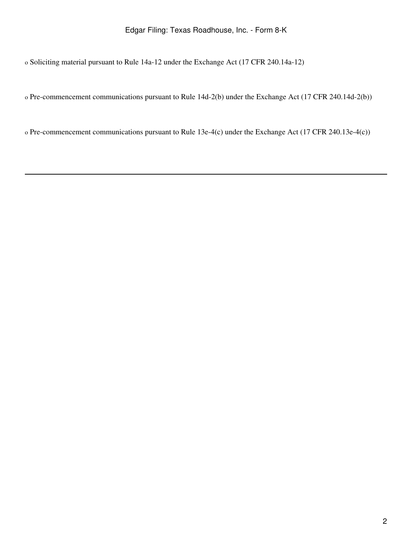o Soliciting material pursuant to Rule 14a-12 under the Exchange Act (17 CFR 240.14a-12)

o Pre-commencement communications pursuant to Rule 14d-2(b) under the Exchange Act (17 CFR 240.14d-2(b))

o Pre-commencement communications pursuant to Rule 13e-4(c) under the Exchange Act (17 CFR 240.13e-4(c))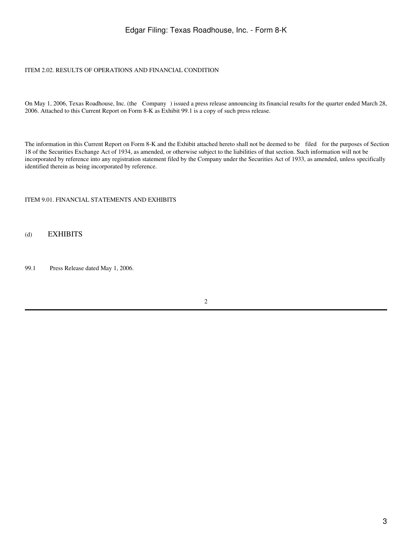### Edgar Filing: Texas Roadhouse, Inc. - Form 8-K

#### ITEM 2.02. RESULTS OF OPERATIONS AND FINANCIAL CONDITION

On May 1, 2006, Texas Roadhouse, Inc. (the Company) issued a press release announcing its financial results for the quarter ended March 28, 2006. Attached to this Current Report on Form 8-K as Exhibit 99.1 is a copy of such press release.

The information in this Current Report on Form 8-K and the Exhibit attached hereto shall not be deemed to be filed for the purposes of Section 18 of the Securities Exchange Act of 1934, as amended, or otherwise subject to the liabilities of that section. Such information will not be incorporated by reference into any registration statement filed by the Company under the Securities Act of 1933, as amended, unless specifically identified therein as being incorporated by reference.

#### ITEM 9.01. FINANCIAL STATEMENTS AND EXHIBITS

#### (d) EXHIBITS

99.1 Press Release dated May 1, 2006.

#### 2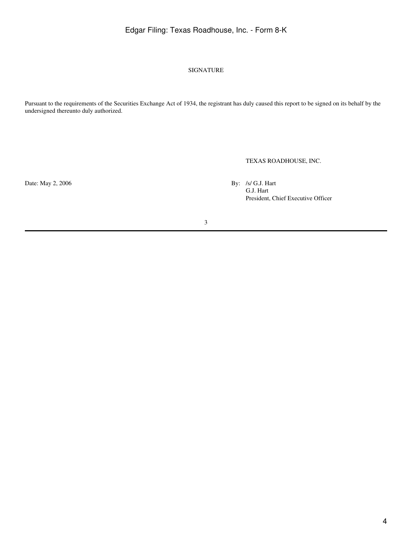## Edgar Filing: Texas Roadhouse, Inc. - Form 8-K

#### SIGNATURE

Pursuant to the requirements of the Securities Exchange Act of 1934, the registrant has duly caused this report to be signed on its behalf by the undersigned thereunto duly authorized.

TEXAS ROADHOUSE, INC.

Date: May 2, 2006 By: /s/ G.J. Hart

G.J. Hart President, Chief Executive Officer

3